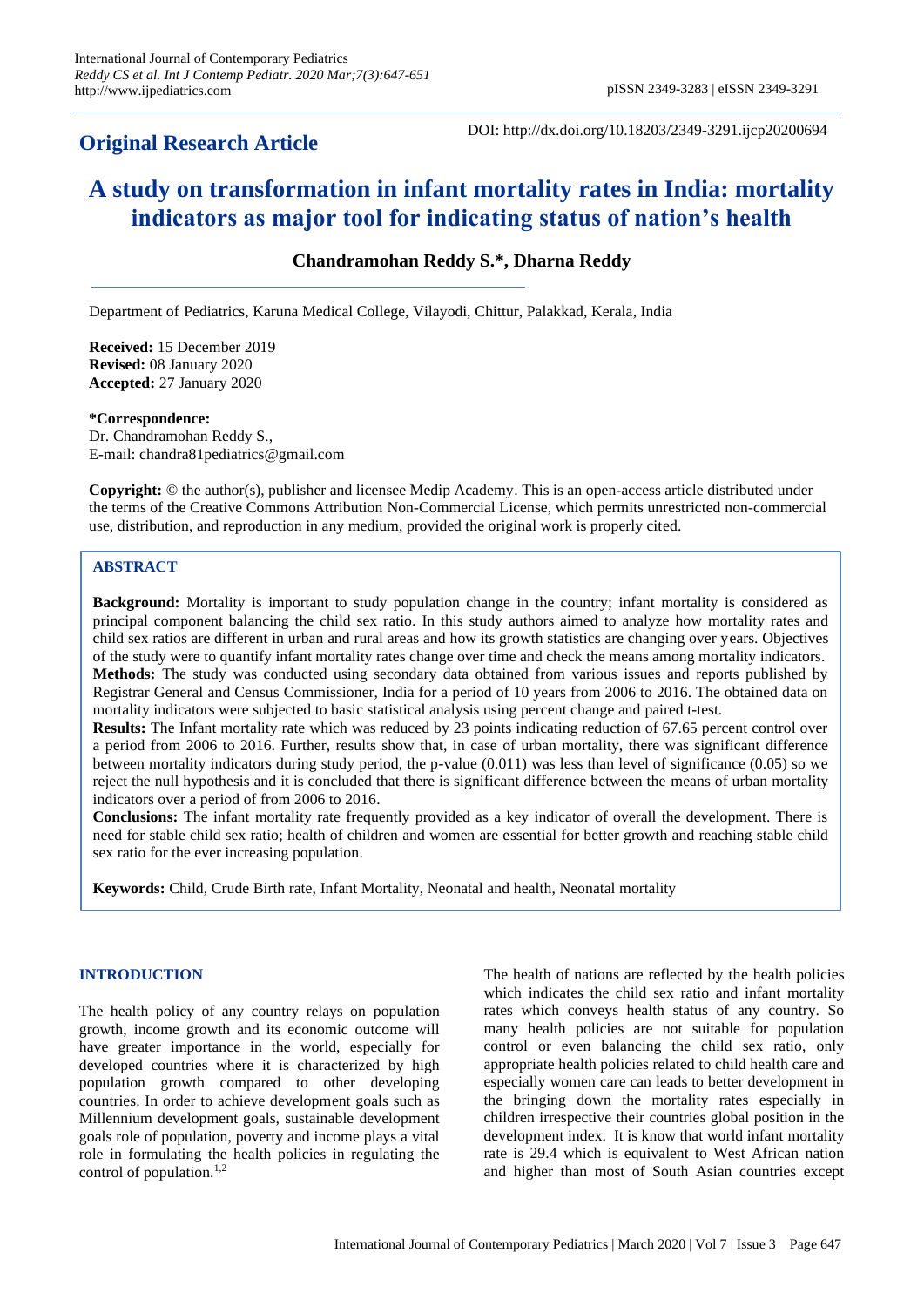## **Original Research Article**

DOI: http://dx.doi.org/10.18203/2349-3291.ijcp20200694

# **A study on transformation in infant mortality rates in India: mortality indicators as major tool for indicating status of nation's health**

## **Chandramohan Reddy S.\*, Dharna Reddy**

Department of Pediatrics, Karuna Medical College, Vilayodi, Chittur, Palakkad, Kerala, India

**Received:** 15 December 2019 **Revised:** 08 January 2020 **Accepted:** 27 January 2020

#### **\*Correspondence:**

Dr. Chandramohan Reddy S., E-mail: chandra81pediatrics@gmail.com

**Copyright:** © the author(s), publisher and licensee Medip Academy. This is an open-access article distributed under the terms of the Creative Commons Attribution Non-Commercial License, which permits unrestricted non-commercial use, distribution, and reproduction in any medium, provided the original work is properly cited.

## **ABSTRACT**

**Background:** Mortality is important to study population change in the country; infant mortality is considered as principal component balancing the child sex ratio. In this study authors aimed to analyze how mortality rates and child sex ratios are different in urban and rural areas and how its growth statistics are changing over years. Objectives of the study were to quantify infant mortality rates change over time and check the means among mortality indicators. **Methods:** The study was conducted using secondary data obtained from various issues and reports published by Registrar General and Census Commissioner, India for a period of 10 years from 2006 to 2016. The obtained data on mortality indicators were subjected to basic statistical analysis using percent change and paired t-test.

**Results:** The Infant mortality rate which was reduced by 23 points indicating reduction of 67.65 percent control over a period from 2006 to 2016. Further, results show that, in case of urban mortality, there was significant difference between mortality indicators during study period, the p-value (0.011) was less than level of significance (0.05) so we reject the null hypothesis and it is concluded that there is significant difference between the means of urban mortality indicators over a period of from 2006 to 2016.

**Conclusions:** The infant mortality rate frequently provided as a key indicator of overall the development. There is need for stable child sex ratio; health of children and women are essential for better growth and reaching stable child sex ratio for the ever increasing population.

**Keywords:** Child, Crude Birth rate, Infant Mortality, Neonatal and health, Neonatal mortality

## **INTRODUCTION**

The health policy of any country relays on population growth, income growth and its economic outcome will have greater importance in the world, especially for developed countries where it is characterized by high population growth compared to other developing countries. In order to achieve development goals such as Millennium development goals, sustainable development goals role of population, poverty and income plays a vital role in formulating the health policies in regulating the control of population. $1,2$ 

The health of nations are reflected by the health policies which indicates the child sex ratio and infant mortality rates which conveys health status of any country. So many health policies are not suitable for population control or even balancing the child sex ratio, only appropriate health policies related to child health care and especially women care can leads to better development in the bringing down the mortality rates especially in children irrespective their countries global position in the development index. It is know that world infant mortality rate is 29.4 which is equivalent to West African nation and higher than most of South Asian countries except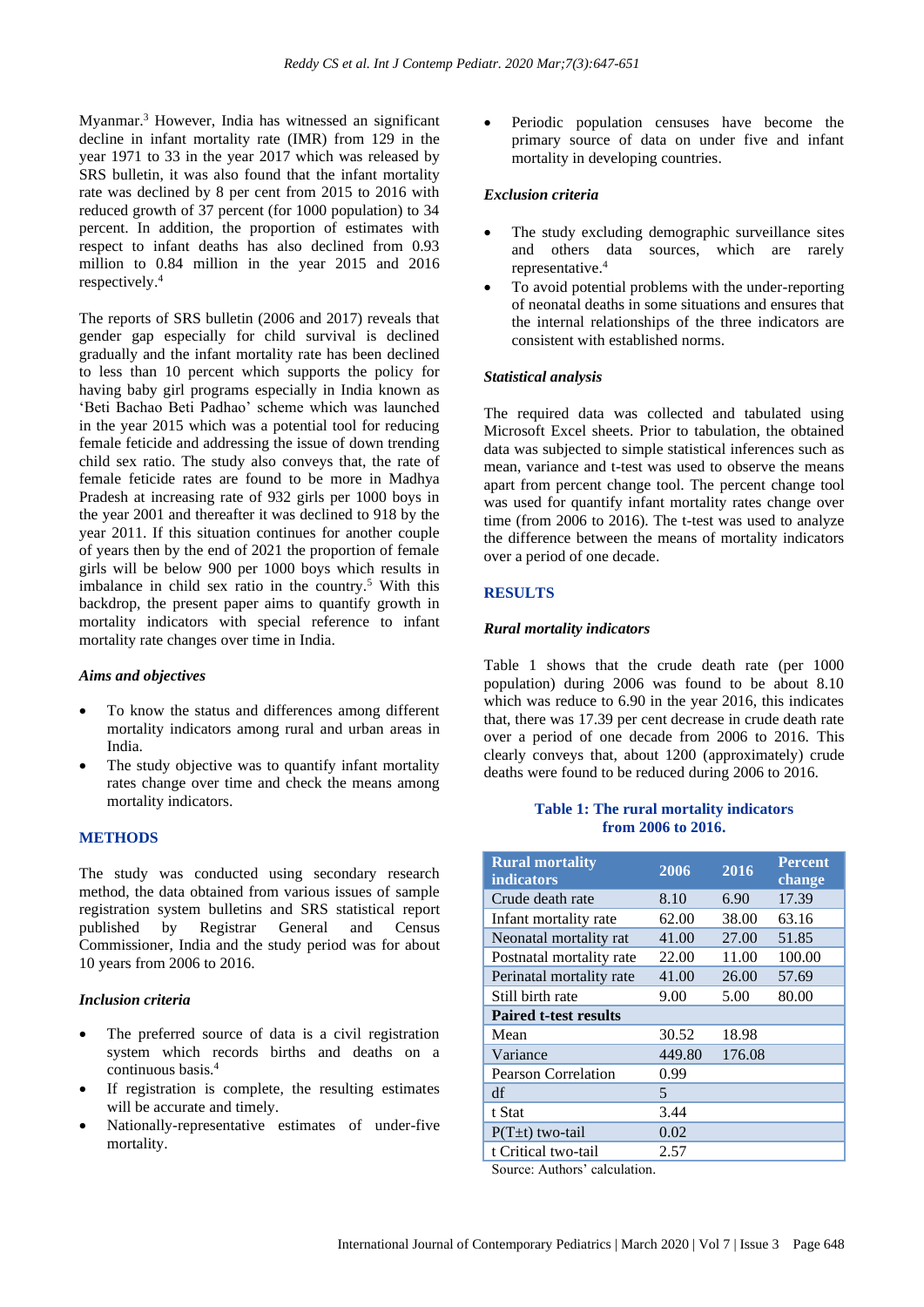Myanmar.<sup>3</sup> However, India has witnessed an significant decline in infant mortality rate (IMR) from 129 in the year 1971 to 33 in the year 2017 which was released by SRS bulletin, it was also found that the infant mortality rate was declined by 8 per cent from 2015 to 2016 with reduced growth of 37 percent (for 1000 population) to 34 percent. In addition, the proportion of estimates with respect to infant deaths has also declined from 0.93 million to 0.84 million in the year 2015 and 2016 respectively. 4

The reports of SRS bulletin (2006 and 2017) reveals that gender gap especially for child survival is declined gradually and the infant mortality rate has been declined to less than 10 percent which supports the policy for having baby girl programs especially in India known as 'Beti Bachao Beti Padhao' scheme which was launched in the year 2015 which was a potential tool for reducing female feticide and addressing the issue of down trending child sex ratio. The study also conveys that, the rate of female feticide rates are found to be more in Madhya Pradesh at increasing rate of 932 girls per 1000 boys in the year 2001 and thereafter it was declined to 918 by the year 2011. If this situation continues for another couple of years then by the end of 2021 the proportion of female girls will be below 900 per 1000 boys which results in imbalance in child sex ratio in the country.<sup>5</sup> With this backdrop, the present paper aims to quantify growth in mortality indicators with special reference to infant mortality rate changes over time in India.

#### *Aims and objectives*

- To know the status and differences among different mortality indicators among rural and urban areas in India.
- The study objective was to quantify infant mortality rates change over time and check the means among mortality indicators.

#### **METHODS**

The study was conducted using secondary research method, the data obtained from various issues of sample registration system bulletins and SRS statistical report published by Registrar General and Census Commissioner, India and the study period was for about 10 years from 2006 to 2016.

#### *Inclusion criteria*

- The preferred source of data is a civil registration system which records births and deaths on a continuous basis.<sup>4</sup>
- If registration is complete, the resulting estimates will be accurate and timely.
- Nationally-representative estimates of under-five mortality.

• Periodic population censuses have become the primary source of data on under five and infant mortality in developing countries.

#### *Exclusion criteria*

- The study excluding demographic surveillance sites and others data sources, which are rarely representative.<sup>4</sup>
- To avoid potential problems with the under-reporting of neonatal deaths in some situations and ensures that the internal relationships of the three indicators are consistent with established norms.

#### *Statistical analysis*

The required data was collected and tabulated using Microsoft Excel sheets. Prior to tabulation, the obtained data was subjected to simple statistical inferences such as mean, variance and t-test was used to observe the means apart from percent change tool. The percent change tool was used for quantify infant mortality rates change over time (from 2006 to 2016). The t-test was used to analyze the difference between the means of mortality indicators over a period of one decade.

#### **RESULTS**

#### *Rural mortality indicators*

Table 1 shows that the crude death rate (per 1000 population) during 2006 was found to be about 8.10 which was reduce to 6.90 in the year 2016, this indicates that, there was 17.39 per cent decrease in crude death rate over a period of one decade from 2006 to 2016. This clearly conveys that, about 1200 (approximately) crude deaths were found to be reduced during 2006 to 2016.

#### **Table 1: The rural mortality indicators from 2006 to 2016.**

| <b>Rural mortality</b><br><b>indicators</b> | 2006   | 2016   | <b>Percent</b><br>change |
|---------------------------------------------|--------|--------|--------------------------|
| Crude death rate                            | 8.10   | 6.90   | 17.39                    |
| Infant mortality rate                       | 62.00  | 38.00  | 63.16                    |
| Neonatal mortality rat                      | 41.00  | 27.00  | 51.85                    |
| Postnatal mortality rate                    | 22.00  | 11.00  | 100.00                   |
| Perinatal mortality rate                    | 41.00  | 26.00  | 57.69                    |
| Still birth rate                            | 9.00   | 5.00   | 80.00                    |
| <b>Paired t-test results</b>                |        |        |                          |
| Mean                                        | 30.52  | 18.98  |                          |
| Variance                                    | 449.80 | 176.08 |                          |
| <b>Pearson Correlation</b>                  | 0.99   |        |                          |
| df                                          | 5      |        |                          |
| t Stat                                      | 3.44   |        |                          |
| $P(T\pm t)$ two-tail                        | 0.02   |        |                          |
| t Critical two-tail                         | 2.57   |        |                          |

Source: Authors' calculation.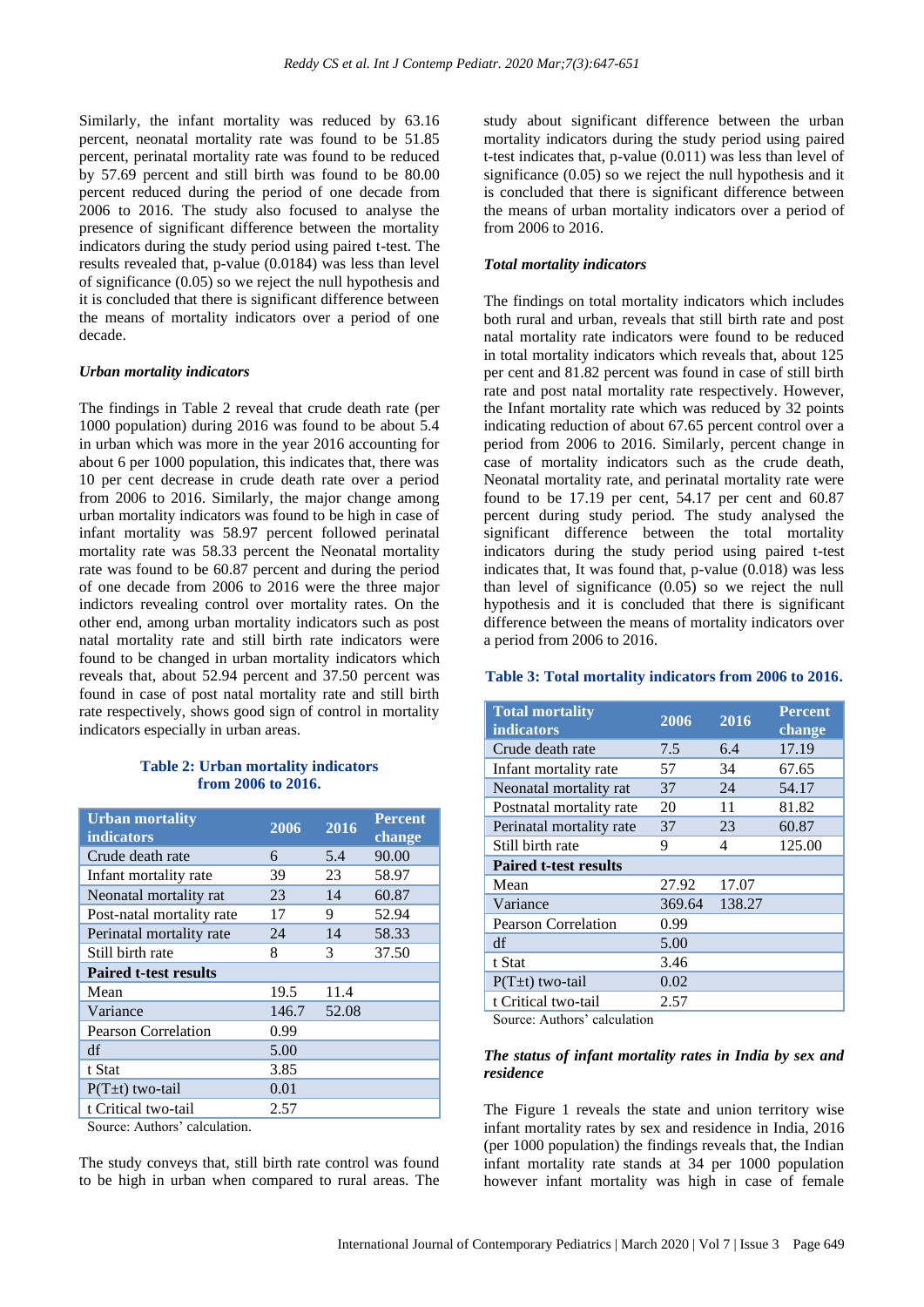Similarly, the infant mortality was reduced by 63.16 percent, neonatal mortality rate was found to be 51.85 percent, perinatal mortality rate was found to be reduced by 57.69 percent and still birth was found to be 80.00 percent reduced during the period of one decade from 2006 to 2016. The study also focused to analyse the presence of significant difference between the mortality indicators during the study period using paired t-test. The results revealed that, p-value (0.0184) was less than level of significance (0.05) so we reject the null hypothesis and it is concluded that there is significant difference between the means of mortality indicators over a period of one decade.

#### *Urban mortality indicators*

The findings in Table 2 reveal that crude death rate (per 1000 population) during 2016 was found to be about 5.4 in urban which was more in the year 2016 accounting for about 6 per 1000 population, this indicates that, there was 10 per cent decrease in crude death rate over a period from 2006 to 2016. Similarly, the major change among urban mortality indicators was found to be high in case of infant mortality was 58.97 percent followed perinatal mortality rate was 58.33 percent the Neonatal mortality rate was found to be 60.87 percent and during the period of one decade from 2006 to 2016 were the three major indictors revealing control over mortality rates. On the other end, among urban mortality indicators such as post natal mortality rate and still birth rate indicators were found to be changed in urban mortality indicators which reveals that, about 52.94 percent and 37.50 percent was found in case of post natal mortality rate and still birth rate respectively, shows good sign of control in mortality indicators especially in urban areas.

#### **Table 2: Urban mortality indicators from 2006 to 2016.**

| <b>Urban mortality</b><br><b>indicators</b> | 2006  | 2016  | <b>Percent</b><br>change |
|---------------------------------------------|-------|-------|--------------------------|
| Crude death rate                            | 6     | 5.4   | 90.00                    |
| Infant mortality rate                       | 39    | 23    | 58.97                    |
| Neonatal mortality rat                      | 23    | 14    | 60.87                    |
| Post-natal mortality rate                   | 17    | 9     | 52.94                    |
| Perinatal mortality rate                    | 24    | 14    | 58.33                    |
| Still birth rate                            | 8     | 3     | 37.50                    |
| <b>Paired t-test results</b>                |       |       |                          |
| Mean                                        | 19.5  | 11.4  |                          |
| Variance                                    | 146.7 | 52.08 |                          |
| <b>Pearson Correlation</b>                  | 0.99  |       |                          |
| df                                          | 5.00  |       |                          |
| t Stat                                      | 3.85  |       |                          |
| $P(T\pm t)$ two-tail                        | 0.01  |       |                          |
| t Critical two-tail                         | 2.57  |       |                          |

Source: Authors' calculation.

The study conveys that, still birth rate control was found to be high in urban when compared to rural areas. The

study about significant difference between the urban mortality indicators during the study period using paired t-test indicates that, p-value (0.011) was less than level of significance (0.05) so we reject the null hypothesis and it is concluded that there is significant difference between the means of urban mortality indicators over a period of from 2006 to 2016.

#### *Total mortality indicators*

The findings on total mortality indicators which includes both rural and urban, reveals that still birth rate and post natal mortality rate indicators were found to be reduced in total mortality indicators which reveals that, about 125 per cent and 81.82 percent was found in case of still birth rate and post natal mortality rate respectively. However, the Infant mortality rate which was reduced by 32 points indicating reduction of about 67.65 percent control over a period from 2006 to 2016. Similarly, percent change in case of mortality indicators such as the crude death, Neonatal mortality rate, and perinatal mortality rate were found to be 17.19 per cent, 54.17 per cent and 60.87 percent during study period. The study analysed the significant difference between the total mortality indicators during the study period using paired t-test indicates that, It was found that, p-value (0.018) was less than level of significance (0.05) so we reject the null hypothesis and it is concluded that there is significant difference between the means of mortality indicators over a period from 2006 to 2016.

## **Table 3: Total mortality indicators from 2006 to 2016.**

| <b>Total mortality</b><br><b>indicators</b> | 2006   | 2016   | <b>Percent</b><br>change |
|---------------------------------------------|--------|--------|--------------------------|
| Crude death rate                            | 7.5    | 6.4    | 17.19                    |
| Infant mortality rate                       | 57     | 34     | 67.65                    |
| Neonatal mortality rat                      | 37     | 24     | 54.17                    |
| Postnatal mortality rate                    | 20     | 11     | 81.82                    |
| Perinatal mortality rate                    | 37     | 23     | 60.87                    |
| Still birth rate                            | 9      | 4      | 125.00                   |
| <b>Paired t-test results</b>                |        |        |                          |
| Mean                                        | 27.92  | 17.07  |                          |
| Variance                                    | 369.64 | 138.27 |                          |
| Pearson Correlation                         | 0.99   |        |                          |
| df                                          | 5.00   |        |                          |
| t Stat                                      | 3.46   |        |                          |
| $P(T\pm t)$ two-tail                        | 0.02   |        |                          |
| t Critical two-tail                         | 2.57   |        |                          |

Source: Authors' calculation

## *The status of infant mortality rates in India by sex and residence*

The Figure 1 reveals the state and union territory wise infant mortality rates by sex and residence in India, 2016 (per 1000 population) the findings reveals that, the Indian infant mortality rate stands at 34 per 1000 population however infant mortality was high in case of female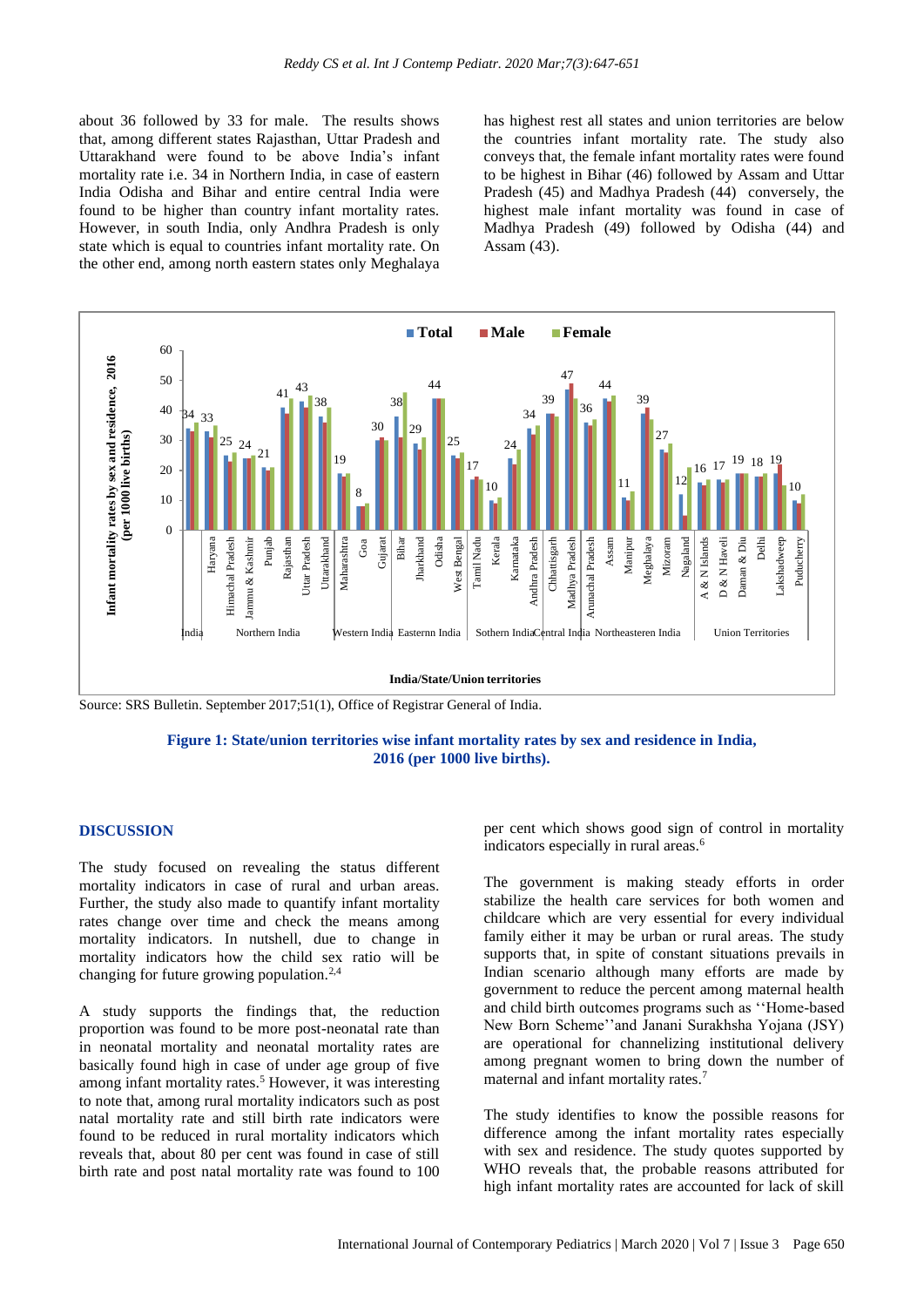about 36 followed by 33 for male. The results shows that, among different states Rajasthan, Uttar Pradesh and Uttarakhand were found to be above India's infant mortality rate i.e. 34 in Northern India, in case of eastern India Odisha and Bihar and entire central India were found to be higher than country infant mortality rates. However, in south India, only Andhra Pradesh is only state which is equal to countries infant mortality rate. On the other end, among north eastern states only Meghalaya has highest rest all states and union territories are below the countries infant mortality rate. The study also conveys that, the female infant mortality rates were found to be highest in Bihar (46) followed by Assam and Uttar Pradesh (45) and Madhya Pradesh (44) conversely, the highest male infant mortality was found in case of Madhya Pradesh (49) followed by Odisha (44) and Assam (43).



Source: SRS Bulletin. September 2017;51(1), Office of Registrar General of India.

## **Figure 1: State/union territories wise infant mortality rates by sex and residence in India, 2016 (per 1000 live births).**

#### **DISCUSSION**

The study focused on revealing the status different mortality indicators in case of rural and urban areas. Further, the study also made to quantify infant mortality rates change over time and check the means among mortality indicators. In nutshell, due to change in mortality indicators how the child sex ratio will be changing for future growing population.<sup>2,4</sup>

A study supports the findings that, the reduction proportion was found to be more post-neonatal rate than in neonatal mortality and neonatal mortality rates are basically found high in case of under age group of five among infant mortality rates.<sup>5</sup> However, it was interesting to note that, among rural mortality indicators such as post natal mortality rate and still birth rate indicators were found to be reduced in rural mortality indicators which reveals that, about 80 per cent was found in case of still birth rate and post natal mortality rate was found to 100 per cent which shows good sign of control in mortality indicators especially in rural areas.<sup>6</sup>

The government is making steady efforts in order stabilize the health care services for both women and childcare which are very essential for every individual family either it may be urban or rural areas. The study supports that, in spite of constant situations prevails in Indian scenario although many efforts are made by government to reduce the percent among maternal health and child birth outcomes programs such as ''Home-based New Born Scheme''and Janani Surakhsha Yojana (JSY) are operational for channelizing institutional delivery among pregnant women to bring down the number of maternal and infant mortality rates.<sup>7</sup>

The study identifies to know the possible reasons for difference among the infant mortality rates especially with sex and residence. The study quotes supported by WHO reveals that, the probable reasons attributed for high infant mortality rates are accounted for lack of skill